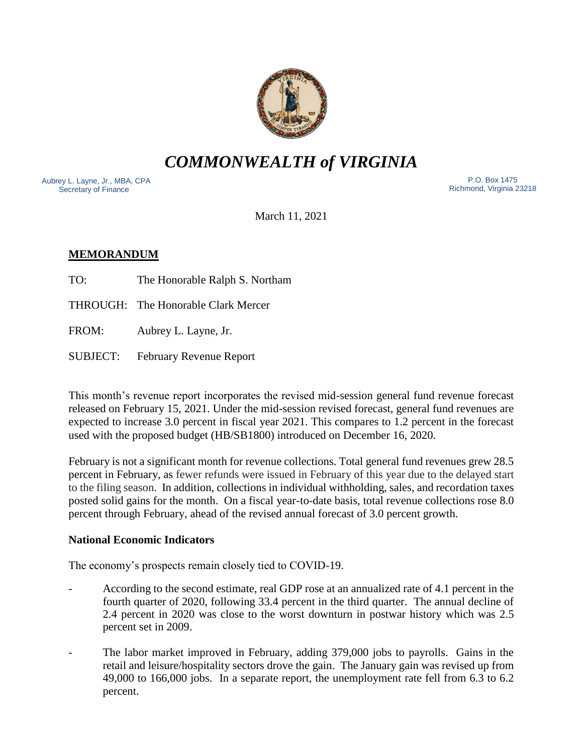

*COMMONWEALTH of VIRGINIA*

Aubrey L. Layne, Jr., MBA, CPA Secretary of Finance

 P.O. Box 1475 Richmond, Virginia 23218

March 11, 2021

# **MEMORANDUM**

TO: The Honorable Ralph S. Northam

THROUGH: The Honorable Clark Mercer

FROM: Aubrey L. Layne, Jr.

SUBJECT: February Revenue Report

This month's revenue report incorporates the revised mid-session general fund revenue forecast released on February 15, 2021. Under the mid-session revised forecast, general fund revenues are expected to increase 3.0 percent in fiscal year 2021. This compares to 1.2 percent in the forecast used with the proposed budget (HB/SB1800) introduced on December 16, 2020.

February is not a significant month for revenue collections. Total general fund revenues grew 28.5 percent in February, as fewer refunds were issued in February of this year due to the delayed start to the filing season. In addition, collections in individual withholding, sales, and recordation taxes posted solid gains for the month. On a fiscal year-to-date basis, total revenue collections rose 8.0 percent through February, ahead of the revised annual forecast of 3.0 percent growth.

### **National Economic Indicators**

The economy's prospects remain closely tied to COVID-19.

- According to the second estimate, real GDP rose at an annualized rate of 4.1 percent in the fourth quarter of 2020, following 33.4 percent in the third quarter. The annual decline of 2.4 percent in 2020 was close to the worst downturn in postwar history which was 2.5 percent set in 2009.
- The labor market improved in February, adding 379,000 jobs to payrolls. Gains in the retail and leisure/hospitality sectors drove the gain. The January gain was revised up from 49,000 to 166,000 jobs. In a separate report, the unemployment rate fell from 6.3 to 6.2 percent.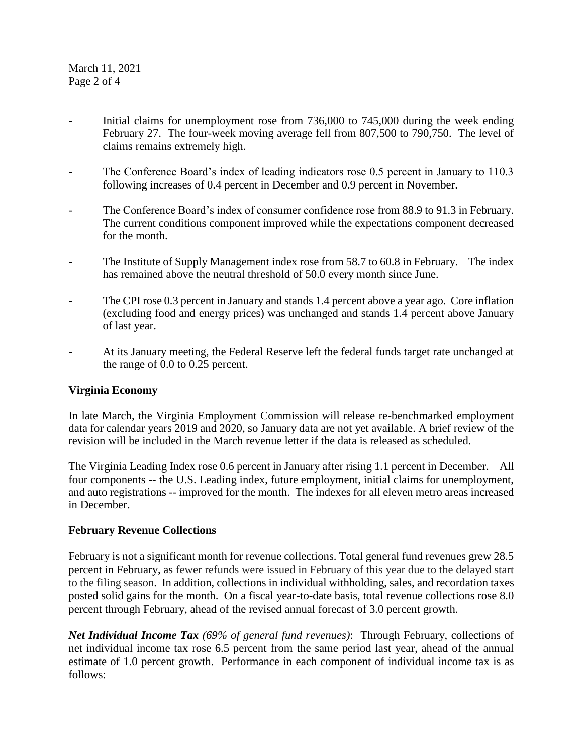March 11, 2021 Page 2 of 4

- Initial claims for unemployment rose from 736,000 to 745,000 during the week ending February 27. The four-week moving average fell from 807,500 to 790,750. The level of claims remains extremely high.
- The Conference Board's index of leading indicators rose 0.5 percent in January to 110.3 following increases of 0.4 percent in December and 0.9 percent in November.
- The Conference Board's index of consumer confidence rose from 88.9 to 91.3 in February. The current conditions component improved while the expectations component decreased for the month.
- The Institute of Supply Management index rose from 58.7 to 60.8 in February. The index has remained above the neutral threshold of 50.0 every month since June.
- The CPI rose 0.3 percent in January and stands 1.4 percent above a year ago. Core inflation (excluding food and energy prices) was unchanged and stands 1.4 percent above January of last year.
- At its January meeting, the Federal Reserve left the federal funds target rate unchanged at the range of 0.0 to 0.25 percent.

### **Virginia Economy**

In late March, the Virginia Employment Commission will release re-benchmarked employment data for calendar years 2019 and 2020, so January data are not yet available. A brief review of the revision will be included in the March revenue letter if the data is released as scheduled.

The Virginia Leading Index rose 0.6 percent in January after rising 1.1 percent in December. All four components -- the U.S. Leading index, future employment, initial claims for unemployment, and auto registrations -- improved for the month. The indexes for all eleven metro areas increased in December.

### **February Revenue Collections**

February is not a significant month for revenue collections. Total general fund revenues grew 28.5 percent in February, as fewer refunds were issued in February of this year due to the delayed start to the filing season. In addition, collections in individual withholding, sales, and recordation taxes posted solid gains for the month. On a fiscal year-to-date basis, total revenue collections rose 8.0 percent through February, ahead of the revised annual forecast of 3.0 percent growth.

*Net Individual Income Tax (69% of general fund revenues)*: Through February, collections of net individual income tax rose 6.5 percent from the same period last year, ahead of the annual estimate of 1.0 percent growth. Performance in each component of individual income tax is as follows: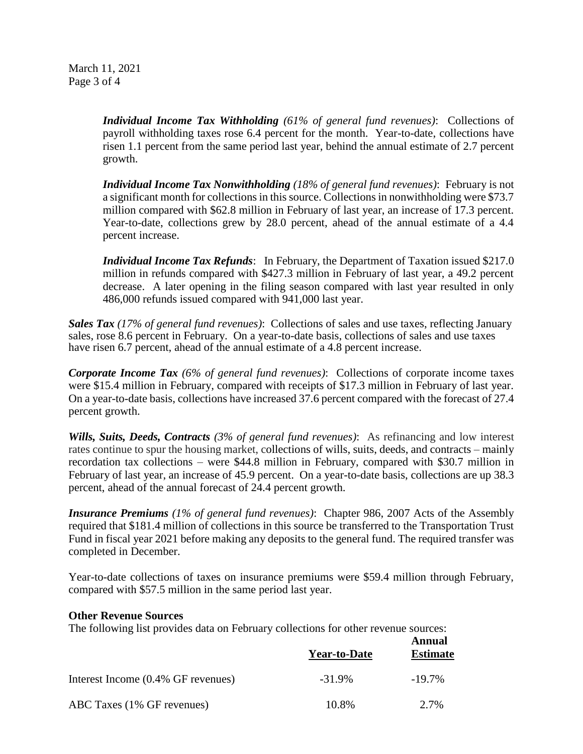March 11, 2021 Page 3 of 4

> *Individual Income Tax Withholding (61% of general fund revenues)*: Collections of payroll withholding taxes rose 6.4 percent for the month. Year-to-date, collections have risen 1.1 percent from the same period last year, behind the annual estimate of 2.7 percent growth.

> *Individual Income Tax Nonwithholding (18% of general fund revenues)*: February is not a significant month for collections in this source. Collections in nonwithholding were \$73.7 million compared with \$62.8 million in February of last year, an increase of 17.3 percent. Year-to-date, collections grew by 28.0 percent, ahead of the annual estimate of a 4.4 percent increase.

> *Individual Income Tax Refunds*: In February, the Department of Taxation issued \$217.0 million in refunds compared with \$427.3 million in February of last year, a 49.2 percent decrease. A later opening in the filing season compared with last year resulted in only 486,000 refunds issued compared with 941,000 last year.

*Sales Tax (17% of general fund revenues)*: Collections of sales and use taxes, reflecting January sales, rose 8.6 percent in February. On a year-to-date basis, collections of sales and use taxes have risen 6.7 percent, ahead of the annual estimate of a 4.8 percent increase.

*Corporate Income Tax (6% of general fund revenues)*: Collections of corporate income taxes were \$15.4 million in February, compared with receipts of \$17.3 million in February of last year. On a year-to-date basis, collections have increased 37.6 percent compared with the forecast of 27.4 percent growth.

*Wills, Suits, Deeds, Contracts (3% of general fund revenues)*: As refinancing and low interest rates continue to spur the housing market, collections of wills, suits, deeds, and contracts – mainly recordation tax collections – were \$44.8 million in February, compared with \$30.7 million in February of last year, an increase of 45.9 percent. On a year-to-date basis, collections are up 38.3 percent, ahead of the annual forecast of 24.4 percent growth.

*Insurance Premiums (1% of general fund revenues)*: Chapter 986, 2007 Acts of the Assembly required that \$181.4 million of collections in this source be transferred to the Transportation Trust Fund in fiscal year 2021 before making any deposits to the general fund. The required transfer was completed in December.

Year-to-date collections of taxes on insurance premiums were \$59.4 million through February, compared with \$57.5 million in the same period last year.

#### **Other Revenue Sources**

The following list provides data on February collections for other revenue sources:

|                                    | <b>Year-to-Date</b> | Annual<br><b>Estimate</b> |
|------------------------------------|---------------------|---------------------------|
| Interest Income (0.4% GF revenues) | $-31.9\%$           | $-19.7\%$                 |
| ABC Taxes (1% GF revenues)         | 10.8%               | 2.7%                      |